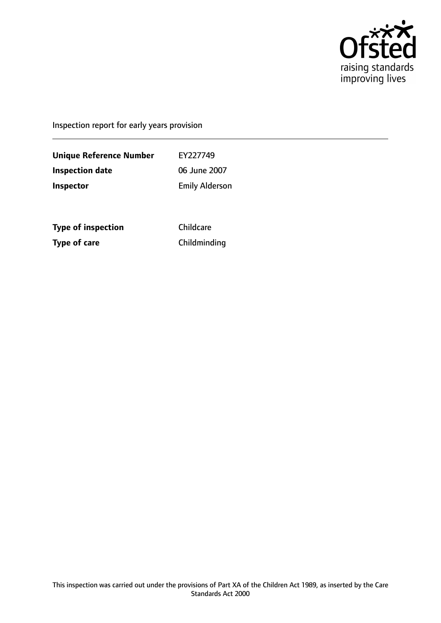

Inspection report for early years provision

**Unique Reference Number** EY227749 **Inspection date** 06 June 2007 **Inspector** Emily Alderson

**Type of inspection** Childcare **Type of care** Childminding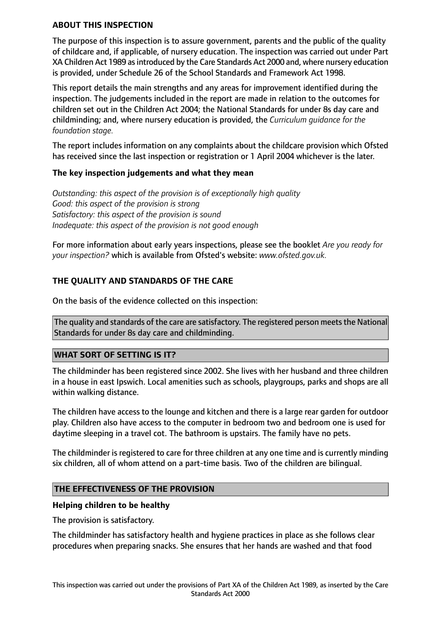#### **ABOUT THIS INSPECTION**

The purpose of this inspection is to assure government, parents and the public of the quality of childcare and, if applicable, of nursery education. The inspection was carried out under Part XA Children Act 1989 asintroduced by the Care Standards Act 2000 and, where nursery education is provided, under Schedule 26 of the School Standards and Framework Act 1998.

This report details the main strengths and any areas for improvement identified during the inspection. The judgements included in the report are made in relation to the outcomes for children set out in the Children Act 2004; the National Standards for under 8s day care and childminding; and, where nursery education is provided, the *Curriculum guidance for the foundation stage.*

The report includes information on any complaints about the childcare provision which Ofsted has received since the last inspection or registration or 1 April 2004 whichever is the later.

## **The key inspection judgements and what they mean**

*Outstanding: this aspect of the provision is of exceptionally high quality Good: this aspect of the provision is strong Satisfactory: this aspect of the provision is sound Inadequate: this aspect of the provision is not good enough*

For more information about early years inspections, please see the booklet *Are you ready for your inspection?* which is available from Ofsted's website: *www.ofsted.gov.uk.*

# **THE QUALITY AND STANDARDS OF THE CARE**

On the basis of the evidence collected on this inspection:

The quality and standards of the care are satisfactory. The registered person meets the National Standards for under 8s day care and childminding.

#### **WHAT SORT OF SETTING IS IT?**

The childminder has been registered since 2002. She lives with her husband and three children in a house in east Ipswich. Local amenities such as schools, playgroups, parks and shops are all within walking distance.

The children have access to the lounge and kitchen and there is a large rear garden for outdoor play. Children also have access to the computer in bedroom two and bedroom one is used for daytime sleeping in a travel cot. The bathroom is upstairs. The family have no pets.

The childminder is registered to care for three children at any one time and is currently minding six children, all of whom attend on a part-time basis. Two of the children are bilingual.

#### **THE EFFECTIVENESS OF THE PROVISION**

#### **Helping children to be healthy**

The provision is satisfactory.

The childminder has satisfactory health and hygiene practices in place as she follows clear procedures when preparing snacks. She ensures that her hands are washed and that food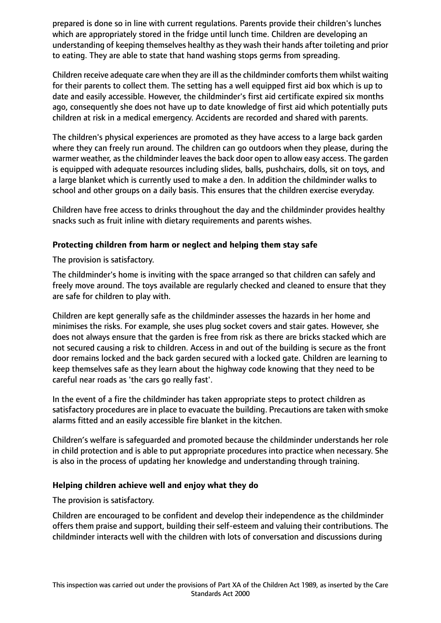prepared is done so in line with current regulations. Parents provide their children's lunches which are appropriately stored in the fridge until lunch time. Children are developing an understanding of keeping themselves healthy as they wash their hands after toileting and prior to eating. They are able to state that hand washing stops germs from spreading.

Children receive adequate care when they are ill as the childminder comforts them whilst waiting for their parents to collect them. The setting has a well equipped first aid box which is up to date and easily accessible. However, the childminder's first aid certificate expired six months ago, consequently she does not have up to date knowledge of first aid which potentially puts children at risk in a medical emergency. Accidents are recorded and shared with parents.

The children's physical experiences are promoted as they have access to a large back garden where they can freely run around. The children can go outdoors when they please, during the warmer weather, as the childminder leaves the back door open to allow easy access. The garden is equipped with adequate resources including slides, balls, pushchairs, dolls, sit on toys, and a large blanket which is currently used to make a den. In addition the childminder walks to school and other groups on a daily basis. This ensures that the children exercise everyday.

Children have free access to drinks throughout the day and the childminder provides healthy snacks such as fruit inline with dietary requirements and parents wishes.

# **Protecting children from harm or neglect and helping them stay safe**

The provision is satisfactory.

The childminder's home is inviting with the space arranged so that children can safely and freely move around. The toys available are regularly checked and cleaned to ensure that they are safe for children to play with.

Children are kept generally safe as the childminder assesses the hazards in her home and minimises the risks. For example, she uses plug socket covers and stair gates. However, she does not always ensure that the garden is free from risk as there are bricks stacked which are not secured causing a risk to children. Access in and out of the building is secure as the front door remains locked and the back garden secured with a locked gate. Children are learning to keep themselves safe as they learn about the highway code knowing that they need to be careful near roads as 'the cars go really fast'.

In the event of a fire the childminder has taken appropriate steps to protect children as satisfactory procedures are in place to evacuate the building. Precautions are taken with smoke alarms fitted and an easily accessible fire blanket in the kitchen.

Children's welfare is safeguarded and promoted because the childminder understands her role in child protection and is able to put appropriate procedures into practice when necessary. She is also in the process of updating her knowledge and understanding through training.

## **Helping children achieve well and enjoy what they do**

The provision is satisfactory.

Children are encouraged to be confident and develop their independence as the childminder offers them praise and support, building their self-esteem and valuing their contributions. The childminder interacts well with the children with lots of conversation and discussions during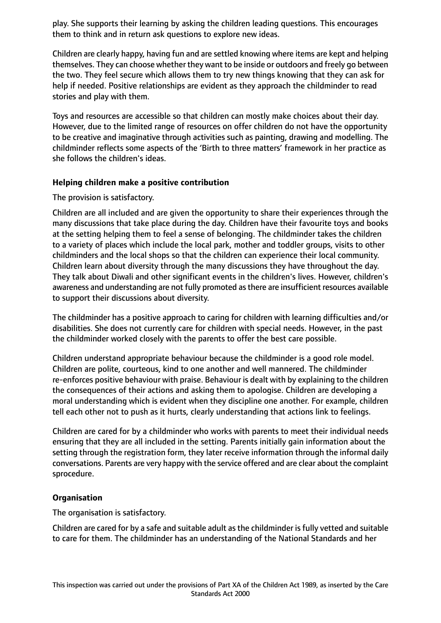play. She supports their learning by asking the children leading questions. This encourages them to think and in return ask questions to explore new ideas.

Children are clearly happy, having fun and are settled knowing where items are kept and helping themselves. They can choose whether they want to be inside or outdoors and freely go between the two. They feel secure which allows them to try new things knowing that they can ask for help if needed. Positive relationships are evident as they approach the childminder to read stories and play with them.

Toys and resources are accessible so that children can mostly make choices about their day. However, due to the limited range of resources on offer children do not have the opportunity to be creative and imaginative through activities such as painting, drawing and modelling. The childminder reflects some aspects of the 'Birth to three matters' framework in her practice as she follows the children's ideas.

## **Helping children make a positive contribution**

The provision is satisfactory.

Children are all included and are given the opportunity to share their experiences through the many discussions that take place during the day. Children have their favourite toys and books at the setting helping them to feel a sense of belonging. The childminder takes the children to a variety of places which include the local park, mother and toddler groups, visits to other childminders and the local shops so that the children can experience their local community. Children learn about diversity through the many discussions they have throughout the day. They talk about Diwali and other significant events in the children's lives. However, children's awareness and understanding are not fully promoted as there are insufficient resources available to support their discussions about diversity.

The childminder has a positive approach to caring for children with learning difficulties and/or disabilities. She does not currently care for children with special needs. However, in the past the childminder worked closely with the parents to offer the best care possible.

Children understand appropriate behaviour because the childminder is a good role model. Children are polite, courteous, kind to one another and well mannered. The childminder re-enforces positive behaviour with praise. Behaviour is dealt with by explaining to the children the consequences of their actions and asking them to apologise. Children are developing a moral understanding which is evident when they discipline one another. For example, children tell each other not to push as it hurts, clearly understanding that actions link to feelings.

Children are cared for by a childminder who works with parents to meet their individual needs ensuring that they are all included in the setting. Parents initially gain information about the setting through the registration form, they later receive information through the informal daily conversations. Parents are very happy with the service offered and are clear about the complaint sprocedure.

## **Organisation**

The organisation is satisfactory.

Children are cared for by a safe and suitable adult as the childminder is fully vetted and suitable to care for them. The childminder has an understanding of the National Standards and her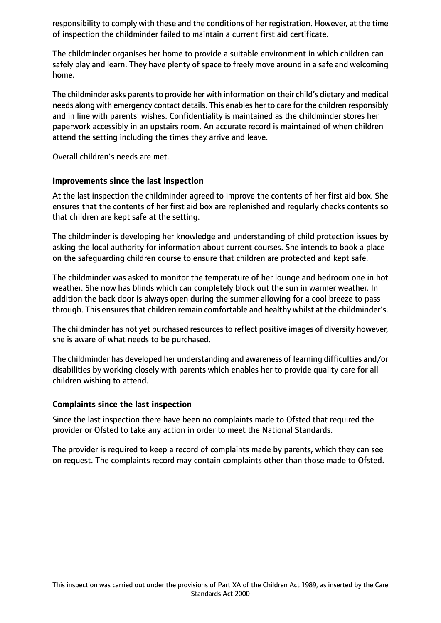responsibility to comply with these and the conditions of her registration. However, at the time of inspection the childminder failed to maintain a current first aid certificate.

The childminder organises her home to provide a suitable environment in which children can safely play and learn. They have plenty of space to freely move around in a safe and welcoming home.

The childminder asks parents to provide her with information on their child's dietary and medical needs along with emergency contact details. This enables her to care for the children responsibly and in line with parents' wishes. Confidentiality is maintained as the childminder stores her paperwork accessibly in an upstairs room. An accurate record is maintained of when children attend the setting including the times they arrive and leave.

Overall children's needs are met.

#### **Improvements since the last inspection**

At the last inspection the childminder agreed to improve the contents of her first aid box. She ensures that the contents of her first aid box are replenished and regularly checks contents so that children are kept safe at the setting.

The childminder is developing her knowledge and understanding of child protection issues by asking the local authority for information about current courses. She intends to book a place on the safeguarding children course to ensure that children are protected and kept safe.

The childminder was asked to monitor the temperature of her lounge and bedroom one in hot weather. She now has blinds which can completely block out the sun in warmer weather. In addition the back door is always open during the summer allowing for a cool breeze to pass through. This ensures that children remain comfortable and healthy whilst at the childminder's.

The childminder has not yet purchased resources to reflect positive images of diversity however, she is aware of what needs to be purchased.

The childminder has developed her understanding and awareness of learning difficulties and/or disabilities by working closely with parents which enables her to provide quality care for all children wishing to attend.

## **Complaints since the last inspection**

Since the last inspection there have been no complaints made to Ofsted that required the provider or Ofsted to take any action in order to meet the National Standards.

The provider is required to keep a record of complaints made by parents, which they can see on request. The complaints record may contain complaints other than those made to Ofsted.